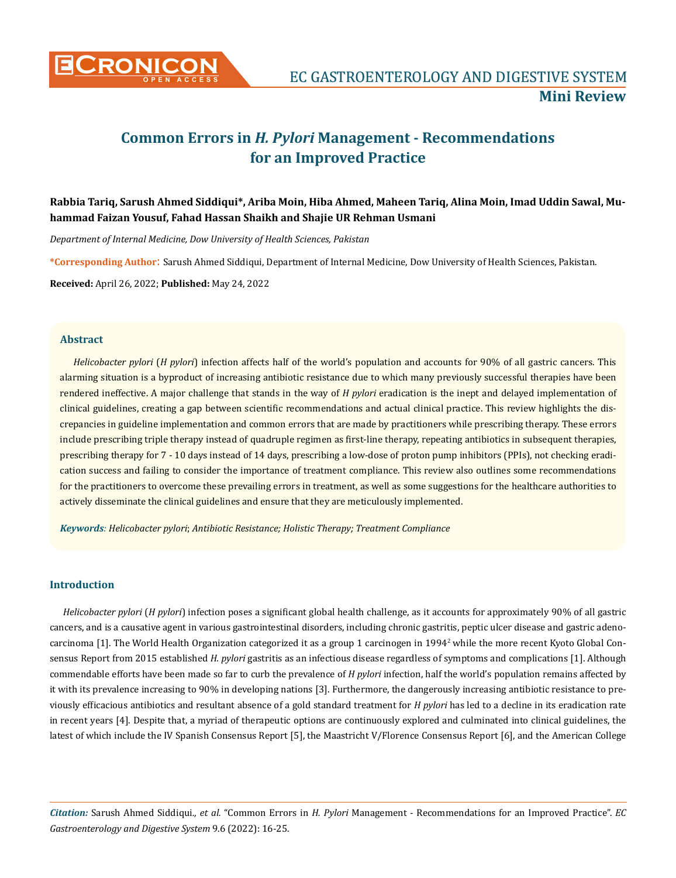

# **Common Errors in** *H. Pylori* **Management - Recommendations for an Improved Practice**

# **Rabbia Tariq, Sarush Ahmed Siddiqui\*, Ariba Moin, Hiba Ahmed, Maheen Tariq, Alina Moin, Imad Uddin Sawal, Muhammad Faizan Yousuf, Fahad Hassan Shaikh and Shajie UR Rehman Usmani**

*Department of Internal Medicine, Dow University of Health Sciences, Pakistan*

**\*Corresponding Author**: Sarush Ahmed Siddiqui, Department of Internal Medicine, Dow University of Health Sciences, Pakistan.

**Received:** April 26, 2022; **Published:** May 24, 2022

## **Abstract**

*Helicobacter pylori* (*H pylori*) infection affects half of the world's population and accounts for 90% of all gastric cancers. This alarming situation is a byproduct of increasing antibiotic resistance due to which many previously successful therapies have been rendered ineffective. A major challenge that stands in the way of *H pylori* eradication is the inept and delayed implementation of clinical guidelines, creating a gap between scientific recommendations and actual clinical practice. This review highlights the discrepancies in guideline implementation and common errors that are made by practitioners while prescribing therapy. These errors include prescribing triple therapy instead of quadruple regimen as first-line therapy, repeating antibiotics in subsequent therapies, prescribing therapy for 7 - 10 days instead of 14 days, prescribing a low-dose of proton pump inhibitors (PPIs), not checking eradication success and failing to consider the importance of treatment compliance. This review also outlines some recommendations for the practitioners to overcome these prevailing errors in treatment, as well as some suggestions for the healthcare authorities to actively disseminate the clinical guidelines and ensure that they are meticulously implemented.

*Keywords: Helicobacter pylori*; *Antibiotic Resistance; Holistic Therapy; Treatment Compliance*

# **Introduction**

*Helicobacter pylori* (*H pylori*) infection poses a significant global health challenge, as it accounts for approximately 90% of all gastric cancers, and is a causative agent in various gastrointestinal disorders, including chronic gastritis, peptic ulcer disease and gastric adenocarcinoma [1]. The World Health Organization categorized it as a group 1 carcinogen in 1994<sup>2</sup> while the more recent Kyoto Global Consensus Report from 2015 established *H. pylori* gastritis as an infectious disease regardless of symptoms and complications [1]. Although commendable efforts have been made so far to curb the prevalence of *H pylori* infection, half the world's population remains affected by it with its prevalence increasing to 90% in developing nations [3]. Furthermore, the dangerously increasing antibiotic resistance to previously efficacious antibiotics and resultant absence of a gold standard treatment for *H pylori* has led to a decline in its eradication rate in recent years [4]. Despite that, a myriad of therapeutic options are continuously explored and culminated into clinical guidelines, the latest of which include the IV Spanish Consensus Report [5], the Maastricht V/Florence Consensus Report [6], and the American College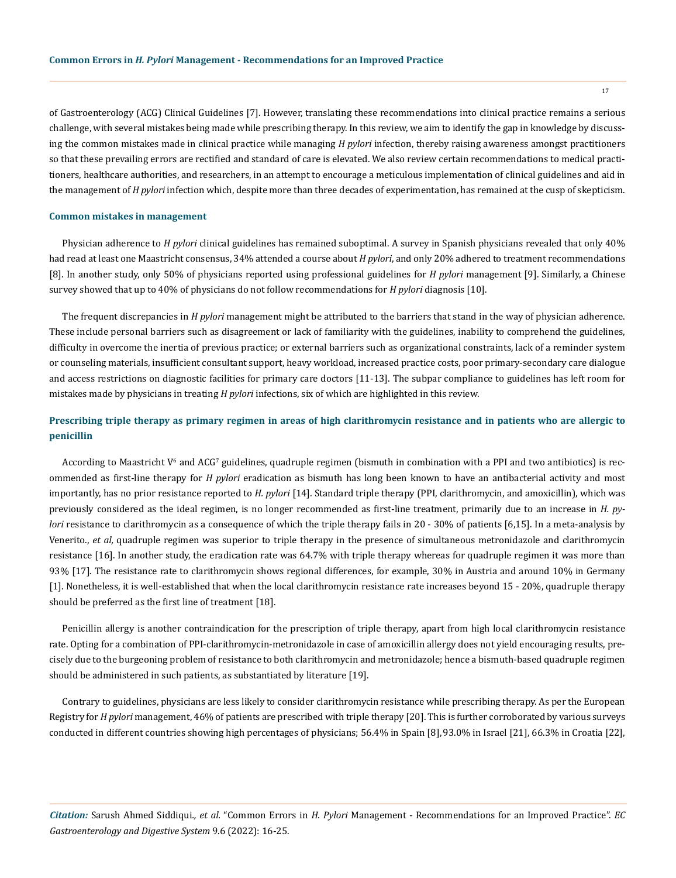of Gastroenterology (ACG) Clinical Guidelines [7]. However, translating these recommendations into clinical practice remains a serious challenge, with several mistakes being made while prescribing therapy. In this review, we aim to identify the gap in knowledge by discussing the common mistakes made in clinical practice while managing *H pylori* infection, thereby raising awareness amongst practitioners so that these prevailing errors are rectified and standard of care is elevated. We also review certain recommendations to medical practitioners, healthcare authorities, and researchers, in an attempt to encourage a meticulous implementation of clinical guidelines and aid in the management of *H pylori* infection which, despite more than three decades of experimentation, has remained at the cusp of skepticism.

#### **Common mistakes in management**

Physician adherence to *H pylori* clinical guidelines has remained suboptimal. A survey in Spanish physicians revealed that only 40% had read at least one Maastricht consensus, 34% attended a course about *H pylori*, and only 20% adhered to treatment recommendations [8]. In another study, only 50% of physicians reported using professional guidelines for *H pylori* management [9]. Similarly, a Chinese survey showed that up to 40% of physicians do not follow recommendations for *H pylori* diagnosis [10].

The frequent discrepancies in *H pylori* management might be attributed to the barriers that stand in the way of physician adherence. These include personal barriers such as disagreement or lack of familiarity with the guidelines, inability to comprehend the guidelines, difficulty in overcome the inertia of previous practice; or external barriers such as organizational constraints, lack of a reminder system or counseling materials, insufficient consultant support, heavy workload, increased practice costs, poor primary-secondary care dialogue and access restrictions on diagnostic facilities for primary care doctors [11-13]. The subpar compliance to guidelines has left room for mistakes made by physicians in treating *H pylori* infections, six of which are highlighted in this review.

# **Prescribing triple therapy as primary regimen in areas of high clarithromycin resistance and in patients who are allergic to penicillin**

According to Maastricht  $V^6$  and ACG' guidelines, quadruple regimen (bismuth in combination with a PPI and two antibiotics) is recommended as first-line therapy for *H pylori* eradication as bismuth has long been known to have an antibacterial activity and most importantly, has no prior resistance reported to *H. pylori* [14]*.* Standard triple therapy (PPI, clarithromycin, and amoxicillin), which was previously considered as the ideal regimen, is no longer recommended as first-line treatment, primarily due to an increase in *H. pylori* resistance to clarithromycin as a consequence of which the triple therapy fails in 20 - 30% of patients [6,15]. In a meta-analysis by Venerito., *et al,* quadruple regimen was superior to triple therapy in the presence of simultaneous metronidazole and clarithromycin resistance [16]. In another study, the eradication rate was 64.7% with triple therapy whereas for quadruple regimen it was more than 93% [17]. The resistance rate to clarithromycin shows regional differences, for example, 30% in Austria and around 10% in Germany [1]. Nonetheless, it is well-established that when the local clarithromycin resistance rate increases beyond 15 - 20%, quadruple therapy should be preferred as the first line of treatment [18].

Penicillin allergy is another contraindication for the prescription of triple therapy, apart from high local clarithromycin resistance rate. Opting for a combination of PPI-clarithromycin-metronidazole in case of amoxicillin allergy does not yield encouraging results, precisely due to the burgeoning problem of resistance to both clarithromycin and metronidazole; hence a bismuth-based quadruple regimen should be administered in such patients, as substantiated by literature [19].

Contrary to guidelines, physicians are less likely to consider clarithromycin resistance while prescribing therapy. As per the European Registry for *H pylori* management, 46% of patients are prescribed with triple therapy [20]. This is further corroborated by various surveys conducted in different countries showing high percentages of physicians; 56.4% in Spain [8],93.0% in Israel [21], 66.3% in Croatia [22],

*Citation:* Sarush Ahmed Siddiqui*., et al.* "Common Errors in *H. Pylori* Management - Recommendations for an Improved Practice". *EC Gastroenterology and Digestive System* 9.6 (2022): 16-25.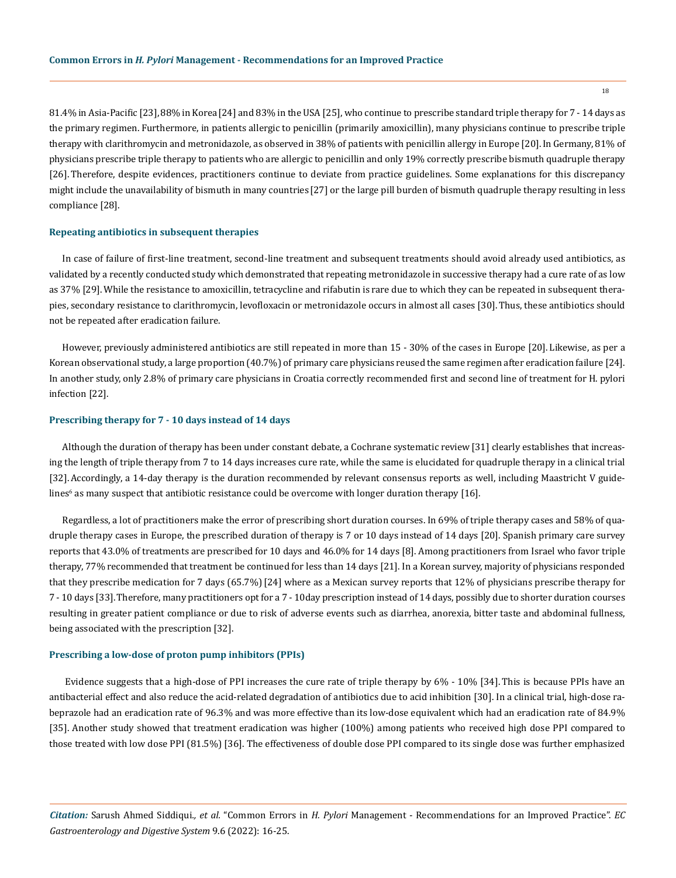81.4% in Asia-Pacific [23],88% in Korea[24] and 83% in the USA [25], who continue to prescribe standard triple therapy for 7 - 14 days as the primary regimen. Furthermore, in patients allergic to penicillin (primarily amoxicillin), many physicians continue to prescribe triple therapy with clarithromycin and metronidazole, as observed in 38% of patients with penicillin allergy in Europe [20].In Germany, 81% of physicians prescribe triple therapy to patients who are allergic to penicillin and only 19% correctly prescribe bismuth quadruple therapy [26]. Therefore, despite evidences, practitioners continue to deviate from practice guidelines. Some explanations for this discrepancy might include the unavailability of bismuth in many countries [27] or the large pill burden of bismuth quadruple therapy resulting in less compliance [28].

#### **Repeating antibiotics in subsequent therapies**

In case of failure of first-line treatment, second-line treatment and subsequent treatments should avoid already used antibiotics, as validated by a recently conducted study which demonstrated that repeating metronidazole in successive therapy had a cure rate of as low as 37% [29].While the resistance to amoxicillin, tetracycline and rifabutin is rare due to which they can be repeated in subsequent therapies, secondary resistance to clarithromycin, levofloxacin or metronidazole occurs in almost all cases [30].Thus, these antibiotics should not be repeated after eradication failure.

However, previously administered antibiotics are still repeated in more than 15 - 30% of the cases in Europe [20]. Likewise, as per a Korean observational study, a large proportion (40.7%) of primary care physicians reused the same regimen after eradication failure [24]. In another study, only 2.8% of primary care physicians in Croatia correctly recommended first and second line of treatment for H. pylori infection [22].

# **Prescribing therapy for 7 - 10 days instead of 14 days**

Although the duration of therapy has been under constant debate, a Cochrane systematic review[31] clearly establishes that increasing the length of triple therapy from 7 to 14 days increases cure rate, while the same is elucidated for quadruple therapy in a clinical trial [32]. Accordingly, a 14-day therapy is the duration recommended by relevant consensus reports as well, including Maastricht V guidelines $^6$  as many suspect that antibiotic resistance could be overcome with longer duration therapy [16].

Regardless, a lot of practitioners make the error of prescribing short duration courses. In 69% of triple therapy cases and 58% of quadruple therapy cases in Europe, the prescribed duration of therapy is 7 or 10 days instead of 14 days [20]. Spanish primary care survey reports that 43.0% of treatments are prescribed for 10 days and 46.0% for 14 days [8]. Among practitioners from Israel who favor triple therapy, 77% recommended that treatment be continued for less than 14 days [21]. In a Korean survey, majority of physicians responded that they prescribe medication for 7 days (65.7%)[24] where as a Mexican survey reports that 12% of physicians prescribe therapy for 7 - 10 days [33].Therefore, many practitioners opt for a 7 - 10day prescription instead of 14 days, possibly due to shorter duration courses resulting in greater patient compliance or due to risk of adverse events such as diarrhea, anorexia, bitter taste and abdominal fullness, being associated with the prescription [32].

#### **Prescribing a low-dose of proton pump inhibitors (PPIs)**

 Evidence suggests that a high-dose of PPI increases the cure rate of triple therapy by 6% - 10% [34]. This is because PPIs have an antibacterial effect and also reduce the acid-related degradation of antibiotics due to acid inhibition [30]. In a clinical trial, high-dose rabeprazole had an eradication rate of 96.3% and was more effective than its low-dose equivalent which had an eradication rate of 84.9% [35]. Another study showed that treatment eradication was higher (100%) among patients who received high dose PPI compared to those treated with low dose PPI (81.5%) [36]. The effectiveness of double dose PPI compared to its single dose was further emphasized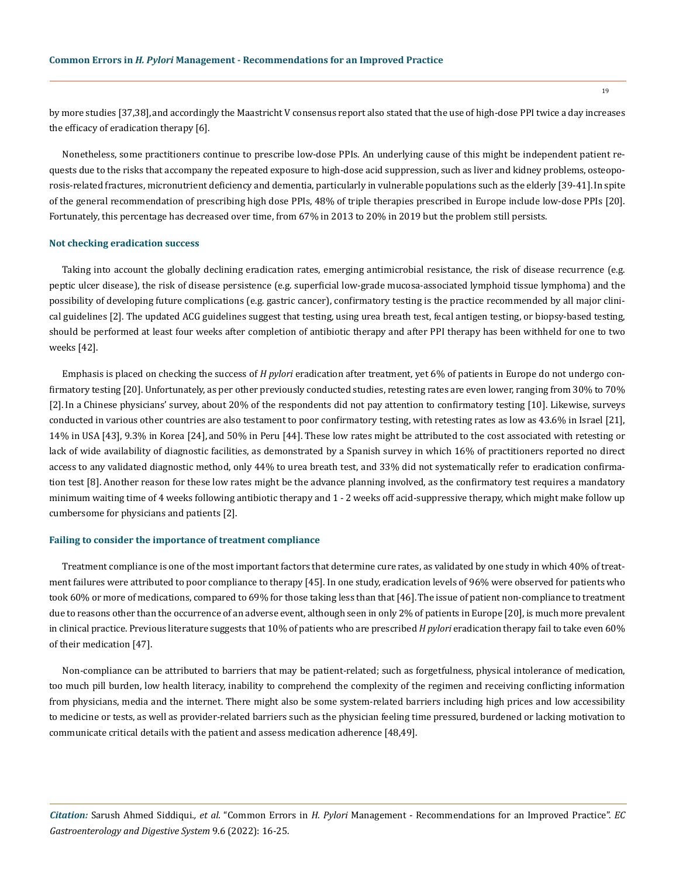by more studies [37,38],and accordingly the Maastricht V consensus report also stated that the use of high-dose PPI twice a day increases the efficacy of eradication therapy [6].

Nonetheless, some practitioners continue to prescribe low-dose PPIs. An underlying cause of this might be independent patient requests due to the risks that accompany the repeated exposure to high-dose acid suppression, such as liver and kidney problems, osteoporosis-related fractures, micronutrient deficiency and dementia, particularly in vulnerable populations such as the elderly [39-41].In spite of the general recommendation of prescribing high dose PPIs, 48% of triple therapies prescribed in Europe include low-dose PPIs [20]. Fortunately, this percentage has decreased over time, from 67% in 2013 to 20% in 2019 but the problem still persists.

#### **Not checking eradication success**

Taking into account the globally declining eradication rates, emerging antimicrobial resistance, the risk of disease recurrence (e.g. peptic ulcer disease), the risk of disease persistence (e.g. superficial low-grade mucosa-associated lymphoid tissue lymphoma) and the possibility of developing future complications (e.g. gastric cancer), confirmatory testing is the practice recommended by all major clinical guidelines [2]. The updated ACG guidelines suggest that testing, using urea breath test, fecal antigen testing, or biopsy-based testing, should be performed at least four weeks after completion of antibiotic therapy and after PPI therapy has been withheld for one to two weeks [42].

Emphasis is placed on checking the success of *H pylori* eradication after treatment, yet 6% of patients in Europe do not undergo confirmatory testing [20]. Unfortunately, as per other previously conducted studies, retesting rates are even lower, ranging from 30% to 70% [2].In a Chinese physicians' survey, about 20% of the respondents did not pay attention to confirmatory testing [10]. Likewise, surveys conducted in various other countries are also testament to poor confirmatory testing, with retesting rates as low as 43.6% in Israel [21], 14% in USA [43], 9.3% in Korea [24], and 50% in Peru [44]. These low rates might be attributed to the cost associated with retesting or lack of wide availability of diagnostic facilities, as demonstrated by a Spanish survey in which 16% of practitioners reported no direct access to any validated diagnostic method, only 44% to urea breath test, and 33% did not systematically refer to eradication confirmation test [8]. Another reason for these low rates might be the advance planning involved, as the confirmatory test requires a mandatory minimum waiting time of 4 weeks following antibiotic therapy and 1 - 2 weeks off acid-suppressive therapy, which might make follow up cumbersome for physicians and patients [2].

#### **Failing to consider the importance of treatment compliance**

Treatment compliance is one of the most important factors that determine cure rates, as validated by one study in which 40% of treatment failures were attributed to poor compliance to therapy [45]. In one study, eradication levels of 96% were observed for patients who took 60% or more of medications, compared to 69% for those taking less than that [46].The issue of patient non-compliance to treatment due to reasons other than the occurrence of an adverse event, although seen in only 2% of patients in Europe [20], is much more prevalent in clinical practice. Previous literature suggests that 10% of patients who are prescribed *H pylori* eradication therapy fail to take even 60% of their medication [47].

Non-compliance can be attributed to barriers that may be patient-related; such as forgetfulness, physical intolerance of medication, too much pill burden, low health literacy, inability to comprehend the complexity of the regimen and receiving conflicting information from physicians, media and the internet. There might also be some system-related barriers including high prices and low accessibility to medicine or tests, as well as provider-related barriers such as the physician feeling time pressured, burdened or lacking motivation to communicate critical details with the patient and assess medication adherence [48,49].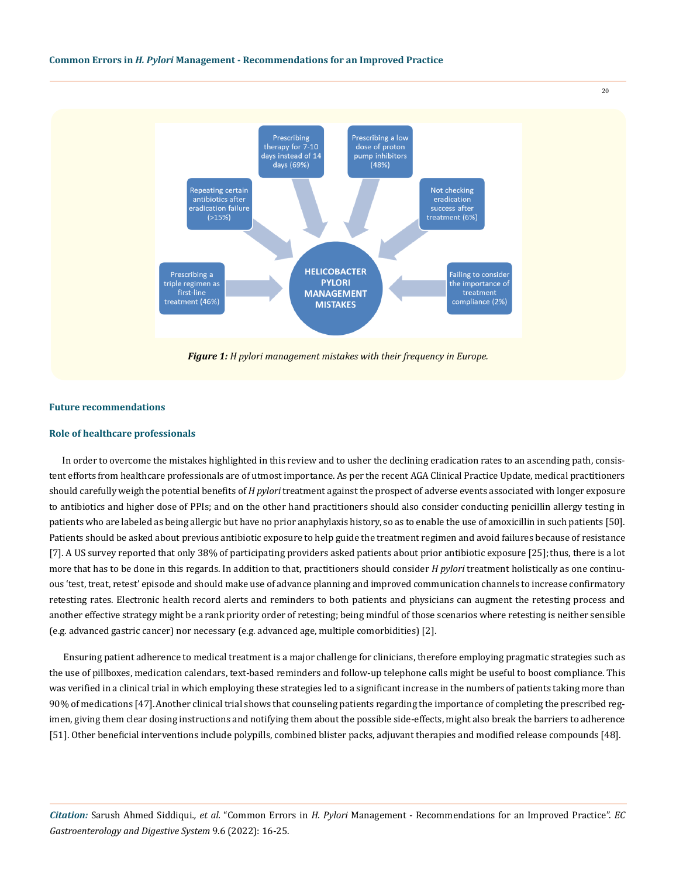

# **Future recommendations**

# **Role of healthcare professionals**

In order to overcome the mistakes highlighted in this review and to usher the declining eradication rates to an ascending path, consistent efforts from healthcare professionals are of utmost importance. As per the recent AGA Clinical Practice Update, medical practitioners should carefully weigh the potential benefits of *H pylori* treatment against the prospect of adverse events associated with longer exposure to antibiotics and higher dose of PPIs; and on the other hand practitioners should also consider conducting penicillin allergy testing in patients who are labeled as being allergic but have no prior anaphylaxis history, so as to enable the use of amoxicillin in such patients [50]. Patients should be asked about previous antibiotic exposure to help guide the treatment regimen and avoid failures because of resistance [7]. A US survey reported that only 38% of participating providers asked patients about prior antibiotic exposure [25]; thus, there is a lot more that has to be done in this regards. In addition to that, practitioners should consider *H pylori* treatment holistically as one continuous 'test, treat, retest' episode and should make use of advance planning and improved communication channels to increase confirmatory retesting rates. Electronic health record alerts and reminders to both patients and physicians can augment the retesting process and another effective strategy might be a rank priority order of retesting; being mindful of those scenarios where retesting is neither sensible (e.g. advanced gastric cancer) nor necessary (e.g. advanced age, multiple comorbidities) [2].

Ensuring patient adherence to medical treatment is a major challenge for clinicians, therefore employing pragmatic strategies such as the use of pillboxes, medication calendars, text-based reminders and follow-up telephone calls might be useful to boost compliance. This was verified in a clinical trial in which employing these strategies led to a significant increase in the numbers of patients taking more than 90% of medications [47].Another clinical trial shows that counseling patients regarding the importance of completing the prescribed regimen, giving them clear dosing instructions and notifying them about the possible side-effects, might also break the barriers to adherence [51]. Other beneficial interventions include polypills, combined blister packs, adjuvant therapies and modified release compounds [48].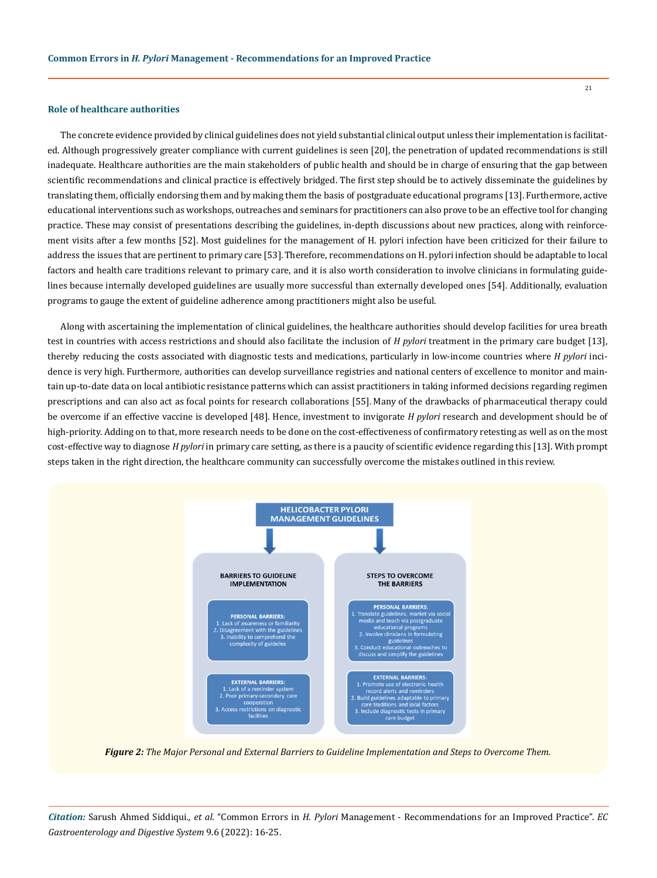# **Role of healthcare authorities**

The concrete evidence provided by clinical guidelines does not yield substantial clinical output unless their implementation is facilitated. Although progressively greater compliance with current guidelines is seen [20], the penetration of updated recommendations is still inadequate. Healthcare authorities are the main stakeholders of public health and should be in charge of ensuring that the gap between scientific recommendations and clinical practice is effectively bridged. The first step should be to actively disseminate the guidelines by translating them, officially endorsing them and by making them the basis of postgraduate educational programs [13]. Furthermore, active educational interventions such as workshops, outreaches and seminars for practitioners can also prove to be an effective tool for changing practice. These may consist of presentations describing the guidelines, in-depth discussions about new practices, along with reinforcement visits after a few months [52]. Most guidelines for the management of H. pylori infection have been criticized for their failure to address the issues that are pertinent to primary care [53].Therefore, recommendations on H. pylori infection should be adaptable to local factors and health care traditions relevant to primary care, and it is also worth consideration to involve clinicians in formulating guidelines because internally developed guidelines are usually more successful than externally developed ones [54]. Additionally, evaluation programs to gauge the extent of guideline adherence among practitioners might also be useful.

Along with ascertaining the implementation of clinical guidelines, the healthcare authorities should develop facilities for urea breath test in countries with access restrictions and should also facilitate the inclusion of *H pylori* treatment in the primary care budget [13], thereby reducing the costs associated with diagnostic tests and medications, particularly in low-income countries where *H pylori* incidence is very high. Furthermore, authorities can develop surveillance registries and national centers of excellence to monitor and maintain up-to-date data on local antibiotic resistance patterns which can assist practitioners in taking informed decisions regarding regimen prescriptions and can also act as focal points for research collaborations [55]. Many of the drawbacks of pharmaceutical therapy could be overcome if an effective vaccine is developed [48]. Hence, investment to invigorate *H pylori* research and development should be of high-priority. Adding on to that, more research needs to be done on the cost-effectiveness of confirmatory retesting as well as on the most cost-effective way to diagnose *H pylori* in primary care setting, as there is a paucity of scientific evidence regarding this [13]. With prompt steps taken in the right direction, the healthcare community can successfully overcome the mistakes outlined in this review.



*Figure 2: The Major Personal and External Barriers to Guideline Implementation and Steps to Overcome Them.*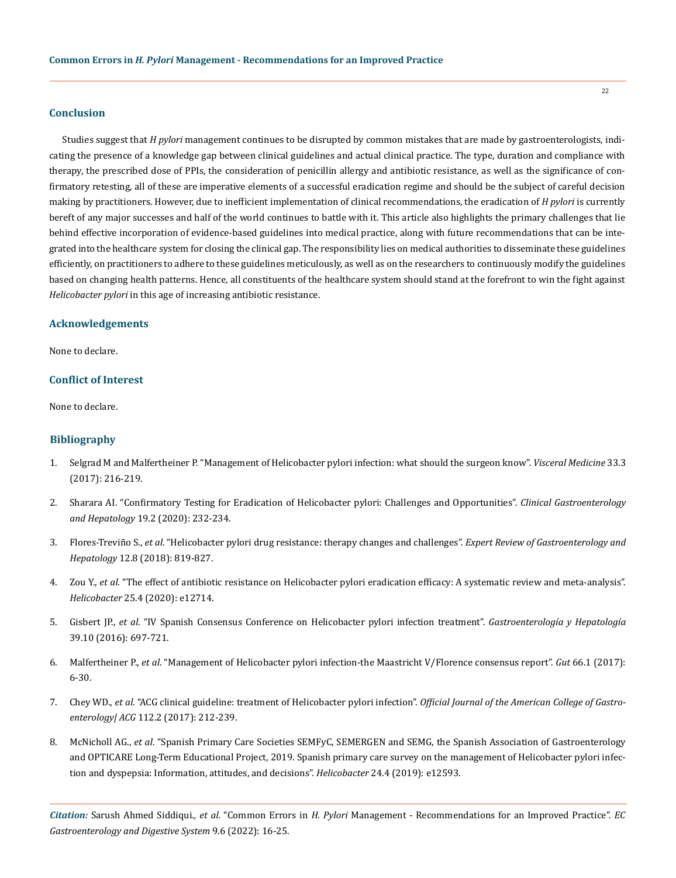# **Conclusion**

Studies suggest that *H pylori* management continues to be disrupted by common mistakes that are made by gastroenterologists, indicating the presence of a knowledge gap between clinical guidelines and actual clinical practice. The type, duration and compliance with therapy, the prescribed dose of PPIs, the consideration of penicillin allergy and antibiotic resistance, as well as the significance of confirmatory retesting, all of these are imperative elements of a successful eradication regime and should be the subject of careful decision making by practitioners. However, due to inefficient implementation of clinical recommendations, the eradication of *H pylori* is currently bereft of any major successes and half of the world continues to battle with it. This article also highlights the primary challenges that lie behind effective incorporation of evidence-based guidelines into medical practice, along with future recommendations that can be integrated into the healthcare system for closing the clinical gap. The responsibility lies on medical authorities to disseminate these guidelines efficiently, on practitioners to adhere to these guidelines meticulously, as well as on the researchers to continuously modify the guidelines based on changing health patterns. Hence, all constituents of the healthcare system should stand at the forefront to win the fight against *Helicobacter pylori* in this age of increasing antibiotic resistance.

# **Acknowledgements**

None to declare.

# **Conflict of Interest**

None to declare.

# **Bibliography**

- 1. [Selgrad M and Malfertheiner P. "Management of Helicobacter pylori infection: what should the surgeon know".](https://www.karger.com/Article/Pdf/477977) *Visceral Medicine* 33.3 [\(2017\): 216-219.](https://www.karger.com/Article/Pdf/477977)
- 2. [Sharara AI. "Confirmatory Testing for Eradication of Helicobacter pylori: Challenges and Opportunities".](https://www.cghjournal.org/article/S1542-3565(20)30758-8/fulltext) *Clinical Gastroenterology and Hepatology* [19.2 \(2020\): 232-234.](https://www.cghjournal.org/article/S1542-3565(20)30758-8/fulltext)
- 3. Flores-Treviño S., *et al*[. "Helicobacter pylori drug resistance: therapy changes and challenges".](https://pubmed.ncbi.nlm.nih.gov/29976092/) *Expert Review of Gastroenterology and Hepatology* [12.8 \(2018\): 819-827.](https://pubmed.ncbi.nlm.nih.gov/29976092/)
- 4. Zou Y., *et al.* "The effect of antibiotic resistance on Helicobacter pylori eradication efficacy: A systematic review and meta-analysis". *Helicobacter* [25.4 \(2020\): e12714.](https://pubmed.ncbi.nlm.nih.gov/32533599/)
- 5. Gisbert JP., *et al*[. "IV Spanish Consensus Conference on Helicobacter pylori infection treatment".](https://pubmed.ncbi.nlm.nih.gov/27342080/) *Gastroenterología y Hepatología* [39.10 \(2016\): 697-721.](https://pubmed.ncbi.nlm.nih.gov/27342080/)
- 6. Malfertheiner P., *et al*[. "Management of Helicobacter pylori infection-the Maastricht V/Florence consensus report".](https://pubmed.ncbi.nlm.nih.gov/27707777/) *Gut* 66.1 (2017): [6-30.](https://pubmed.ncbi.nlm.nih.gov/27707777/)
- 7. Chey WD., *et al*[. "ACG clinical guideline: treatment of Helicobacter pylori infection".](https://journals.lww.com/ajg/fulltext/2017/02000/acg_clinical_guideline__treatment_of_helicobacter.12.aspx) *Official Journal of the American College of Gastroenterology| ACG* [112.2 \(2017\): 212-239.](https://journals.lww.com/ajg/fulltext/2017/02000/acg_clinical_guideline__treatment_of_helicobacter.12.aspx)
- 8. McNicholl AG., *et al*[. "Spanish Primary Care Societies SEMFyC, SEMERGEN and SEMG, the Spanish Association of Gastroenterology](https://pubmed.ncbi.nlm.nih.gov/31111627/)  [and OPTICARE Long-Term Educational Project, 2019. Spanish primary care survey on the management of Helicobacter pylori infec](https://pubmed.ncbi.nlm.nih.gov/31111627/)[tion and dyspepsia: Information, attitudes, and decisions".](https://pubmed.ncbi.nlm.nih.gov/31111627/) *Helicobacter* 24.4 (2019): e12593.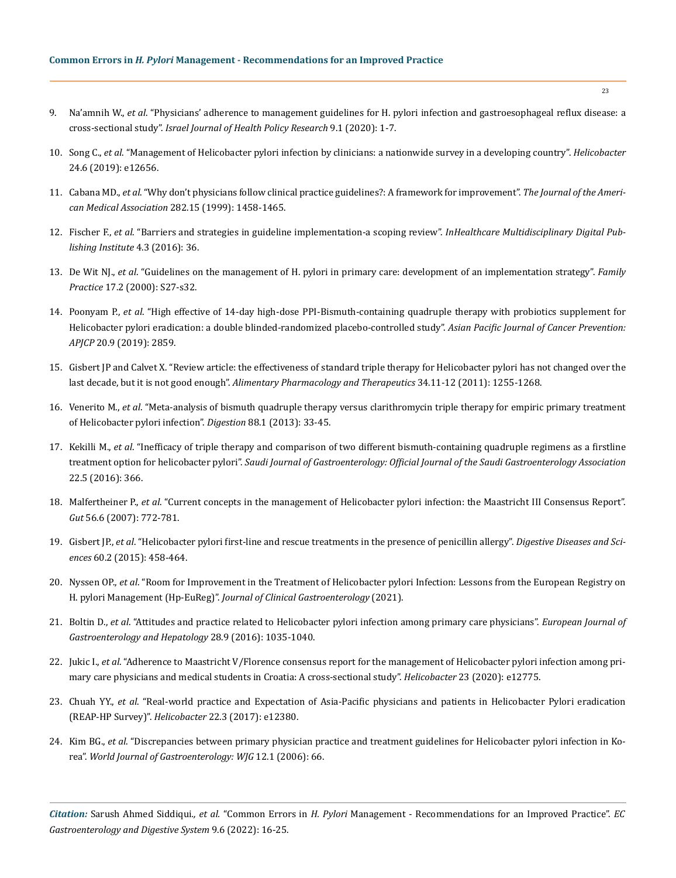- 9. Na'amnih W., *et al*[. "Physicians' adherence to management guidelines for H. pylori infection and gastroesophageal reflux disease: a](https://pubmed.ncbi.nlm.nih.gov/32527326/)  cross-sectional study". *[Israel Journal of Health Policy Research](https://pubmed.ncbi.nlm.nih.gov/32527326/)* 9.1 (2020): 1-7.
- 10. Song C., *et al*[. "Management of Helicobacter pylori infection by clinicians: a nationwide survey in a developing country".](https://pubmed.ncbi.nlm.nih.gov/31571330/) *Helicobacter* [24.6 \(2019\): e12656.](https://pubmed.ncbi.nlm.nih.gov/31571330/)
- 11. Cabana MD., *et al*[. "Why don't physicians follow clinical practice guidelines?: A framework for improvement".](https://pubmed.ncbi.nlm.nih.gov/10535437/) *The Journal of the Ameri[can Medical Association](https://pubmed.ncbi.nlm.nih.gov/10535437/)* 282.15 (1999): 1458-1465.
- 12. Fischer F., *et al*[. "Barriers and strategies in guideline implementation-a scoping review".](https://pubmed.ncbi.nlm.nih.gov/27417624/) *InHealthcare Multidisciplinary Digital Pub[lishing Institute](https://pubmed.ncbi.nlm.nih.gov/27417624/)* 4.3 (2016): 36.
- 13. De Wit NJ., *et al*[. "Guidelines on the management of H. pylori in primary care: development of an implementation strategy".](https://academic.oup.com/fampra/article-abstract/17/suppl_2/S27/496433) *Family Practice* [17.2 \(2000\): S27-s32.](https://academic.oup.com/fampra/article-abstract/17/suppl_2/S27/496433)
- 14. Poonyam P., *et al*[. "High effective of 14-day high-dose PPI-Bismuth-containing quadruple therapy with probiotics supplement for](https://pubmed.ncbi.nlm.nih.gov/31554388/)  [Helicobacter pylori eradication: a double blinded-randomized placebo-controlled study".](https://pubmed.ncbi.nlm.nih.gov/31554388/) *Asian Pacific Journal of Cancer Prevention: APJCP* [20.9 \(2019\): 2859.](https://pubmed.ncbi.nlm.nih.gov/31554388/)
- 15. [Gisbert JP and Calvet X. "Review article: the effectiveness of standard triple therapy for Helicobacter pylori has not changed over the](https://pubmed.ncbi.nlm.nih.gov/22017749/)  last decade, but it is not good enough". *[Alimentary Pharmacology and Therapeutics](https://pubmed.ncbi.nlm.nih.gov/22017749/)* 34.11-12 (2011): 1255-1268.
- 16. Venerito M., *et al*[. "Meta-analysis of bismuth quadruple therapy versus clarithromycin triple therapy for empiric primary treatment](https://pubmed.ncbi.nlm.nih.gov/23880479/)  [of Helicobacter pylori infection".](https://pubmed.ncbi.nlm.nih.gov/23880479/) *Digestion* 88.1 (2013): 33-45.
- 17. Kekilli M., *et al*[. "Inefficacy of triple therapy and comparison of two different bismuth-containing quadruple regimens as a firstline](https://pubmed.ncbi.nlm.nih.gov/27748322/)  treatment option for helicobacter pylori". *[Saudi Journal of Gastroenterology: Official Journal of the Saudi Gastroenterology Association](https://pubmed.ncbi.nlm.nih.gov/27748322/)* [22.5 \(2016\): 366.](https://pubmed.ncbi.nlm.nih.gov/27748322/)
- 18. Malfertheiner P., *et al*[. "Current concepts in the management of Helicobacter pylori infection: the Maastricht III Consensus Report".](https://pubmed.ncbi.nlm.nih.gov/17170018/)  *Gut* [56.6 \(2007\): 772-781.](https://pubmed.ncbi.nlm.nih.gov/17170018/)
- 19. Gisbert JP., *et al*[. "Helicobacter pylori first-line and rescue treatments in the presence of penicillin allergy".](https://www.researchgate.net/publication/265858774_Helicobacter_Pylori_First-Line_and_Rescue_Treatments_in_the_Presence_of_Penicillin_Allergy) *Digestive Diseases and Sciences* [60.2 \(2015\): 458-464.](https://www.researchgate.net/publication/265858774_Helicobacter_Pylori_First-Line_and_Rescue_Treatments_in_the_Presence_of_Penicillin_Allergy)
- 20. Nyssen OP., *et al*[. "Room for Improvement in the Treatment of Helicobacter pylori Infection: Lessons from the European Registry on](https://pubmed.ncbi.nlm.nih.gov/33405435/)  H. pylori Management (Hp-EuReg)". *[Journal of Clinical Gastroenterology](https://pubmed.ncbi.nlm.nih.gov/33405435/)* (2021).
- 21. Boltin D., *et al*[. "Attitudes and practice related to Helicobacter pylori infection among primary care physicians".](https://pubmed.ncbi.nlm.nih.gov/27167452/) *European Journal of [Gastroenterology and Hepatology](https://pubmed.ncbi.nlm.nih.gov/27167452/)* 28.9 (2016): 1035-1040.
- 22. Jukic I., *et al*[. "Adherence to Maastricht V/Florence consensus report for the management of Helicobacter pylori infection among pri](https://pubmed.ncbi.nlm.nih.gov/33368852/)[mary care physicians and medical students in Croatia: A cross-sectional study".](https://pubmed.ncbi.nlm.nih.gov/33368852/) *Helicobacter* 23 (2020): e12775.
- 23. Chuah YY., *et al*[. "Real‐world practice and Expectation of Asia‐Pacific physicians and patients in Helicobacter Pylori eradication](https://pubmed.ncbi.nlm.nih.gov/28244264/)  (REAP-HP Survey)". *Helicobacter* [22.3 \(2017\): e12380.](https://pubmed.ncbi.nlm.nih.gov/28244264/)
- 24. Kim BG., *et al*[. "Discrepancies between primary physician practice and treatment guidelines for Helicobacter pylori infection in Ko](https://pubmed.ncbi.nlm.nih.gov/16440419/)rea". *[World Journal of Gastroenterology: WJG](https://pubmed.ncbi.nlm.nih.gov/16440419/)* 12.1 (2006): 66.

*Citation:* Sarush Ahmed Siddiqui*., et al.* "Common Errors in *H. Pylori* Management - Recommendations for an Improved Practice". *EC Gastroenterology and Digestive System* 9.6 (2022): 16-25.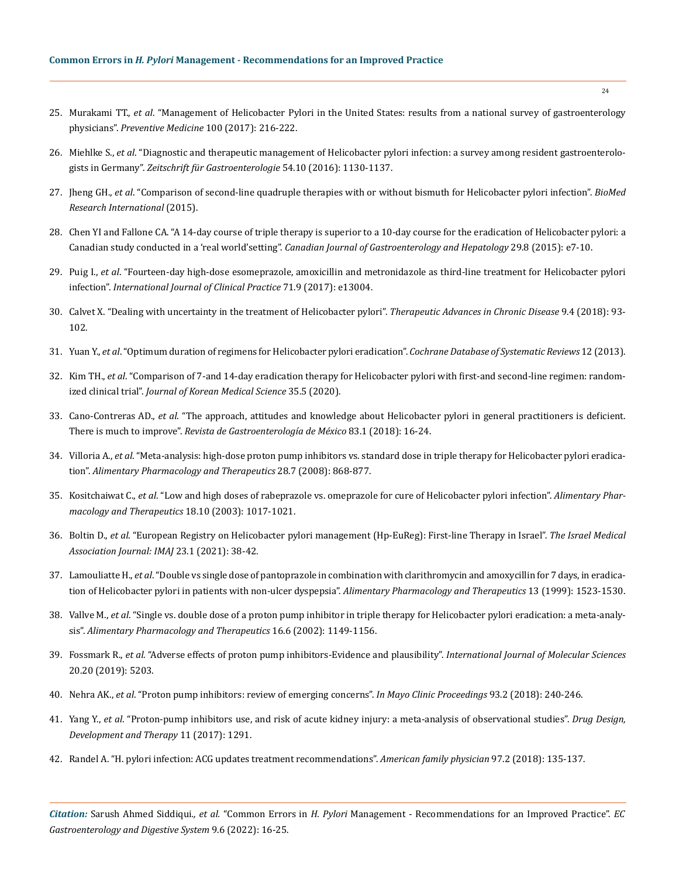- 25. Murakami TT., *et al*[. "Management of Helicobacter Pylori in the United States: results from a national survey of gastroenterology](https://pubmed.ncbi.nlm.nih.gov/28457713/)  physicians". *[Preventive Medicine](https://pubmed.ncbi.nlm.nih.gov/28457713/)* 100 (2017): 216-222.
- 26. Miehlke S., *et al*[. "Diagnostic and therapeutic management of Helicobacter pylori infection: a survey among resident gastroenterolo](https://pubmed.ncbi.nlm.nih.gov/27723904/)gists in Germany". *[Zeitschrift für Gastroenterologie](https://pubmed.ncbi.nlm.nih.gov/27723904/)* 54.10 (2016): 1130-1137.
- 27. Jheng GH., *et al*[. "Comparison of second-line quadruple therapies with or without bismuth for Helicobacter pylori infection".](https://pubmed.ncbi.nlm.nih.gov/26090383/) *BioMed [Research International](https://pubmed.ncbi.nlm.nih.gov/26090383/)* (2015).
- 28. [Chen YI and Fallone CA. "A 14-day course of triple therapy is superior to a 10-day course for the eradication of Helicobacter pylori: a](https://www.ncbi.nlm.nih.gov/pmc/articles/PMC4699606/)  Canadian study conducted in a 'real world'setting". *[Canadian Journal of Gastroenterology and Hepatology](https://www.ncbi.nlm.nih.gov/pmc/articles/PMC4699606/)* 29.8 (2015): e7-10.
- 29. Puig I., *et al*[. "Fourteen‐day high‐dose esomeprazole, amoxicillin and metronidazole as third‐line treatment for Helicobacter pylori](https://pubmed.ncbi.nlm.nih.gov/28869699/)  infection". *[International Journal of Clinical Practice](https://pubmed.ncbi.nlm.nih.gov/28869699/)* 71.9 (2017): e13004.
- 30. [Calvet X. "Dealing with uncertainty in the treatment of Helicobacter pylori".](https://pubmed.ncbi.nlm.nih.gov/29623181/) *Therapeutic Advances in Chronic Disease* 9.4 (2018): 93- [102.](https://pubmed.ncbi.nlm.nih.gov/29623181/)
- 31. Yuan Y., *et al*[. "Optimum duration of regimens for Helicobacter pylori eradication".](https://pubmed.ncbi.nlm.nih.gov/24338763/) *Cochrane Database of Systematic Reviews* 12 (2013).
- 32. Kim TH., *et al*[. "Comparison of 7-and 14-day eradication therapy for Helicobacter pylori with first-and second-line regimen: random](https://pubmed.ncbi.nlm.nih.gov/32030921/)ized clinical trial". *[Journal of Korean Medical Science](https://pubmed.ncbi.nlm.nih.gov/32030921/)* 35.5 (2020).
- 33. Cano-Contreras AD., *et al*[. "The approach, attitudes and knowledge about Helicobacter pylori in general practitioners is deficient.](https://pubmed.ncbi.nlm.nih.gov/28385468/)  There is much to improve". *[Revista de Gastroenterología de México](https://pubmed.ncbi.nlm.nih.gov/28385468/)* 83.1 (2018): 16-24.
- 34. Villoria A., *et al*[. "Meta-analysis: high-dose proton pump inhibitors vs. standard dose in triple therapy for Helicobacter pylori eradica](https://pubmed.ncbi.nlm.nih.gov/18644011/)tion". *[Alimentary Pharmacology and Therapeutics](https://pubmed.ncbi.nlm.nih.gov/18644011/)* 28.7 (2008): 868-877.
- 35. Kositchaiwat C., *et al*[. "Low and high doses of rabeprazole vs. omeprazole for cure of Helicobacter pylori infection".](https://pubmed.ncbi.nlm.nih.gov/14616168/) *Alimentary Phar[macology and Therapeutics](https://pubmed.ncbi.nlm.nih.gov/14616168/)* 18.10 (2003): 1017-1021.
- 36. Boltin D., *et al*[. "European Registry on Helicobacter pylori management \(Hp-EuReg\): First-line Therapy in Israel".](https://pubmed.ncbi.nlm.nih.gov/33443341/) *The Israel Medical [Association Journal: IMAJ](https://pubmed.ncbi.nlm.nih.gov/33443341/)* 23.1 (2021): 38-42.
- 37. Lamouliatte H., *et al*[. "Double vs single dose of pantoprazole in combination with clarithromycin and amoxycillin for 7 days, in eradica](https://pubmed.ncbi.nlm.nih.gov/10571611/)[tion of Helicobacter pylori in patients with non-ulcer dyspepsia".](https://pubmed.ncbi.nlm.nih.gov/10571611/) *Alimentary Pharmacology and Therapeutics* 13 (1999): 1523-1530.
- 38. Vallve M., *et al*[. "Single vs. double dose of a proton pump inhibitor in triple therapy for Helicobacter pylori eradication: a meta-analy](https://pubmed.ncbi.nlm.nih.gov/12030958/)sis". *[Alimentary Pharmacology and Therapeutics](https://pubmed.ncbi.nlm.nih.gov/12030958/)* 16.6 (2002): 1149-1156.
- 39. Fossmark R., *et al*[. "Adverse effects of proton pump inhibitors-Evidence and plausibility".](https://www.ncbi.nlm.nih.gov/pmc/articles/PMC6829383/) *International Journal of Molecular Sciences* [20.20 \(2019\): 5203.](https://www.ncbi.nlm.nih.gov/pmc/articles/PMC6829383/)
- 40. Nehra AK., *et al*[. "Proton pump inhibitors: review of emerging concerns".](https://pubmed.ncbi.nlm.nih.gov/29406201/) *In Mayo Clinic Proceedings* 93.2 (2018): 240-246.
- 41. Yang Y., *et al*[. "Proton-pump inhibitors use, and risk of acute kidney injury: a meta-analysis of observational studies".](https://www.ncbi.nlm.nih.gov/pmc/articles/PMC5411168/) *Drug Design, [Development and Therapy](https://www.ncbi.nlm.nih.gov/pmc/articles/PMC5411168/)* 11 (2017): 1291.
- 42. [Randel A. "H. pylori infection: ACG updates treatment recommendations".](https://www.aafp.org/afp/2018/0115/p135.html) *American family physician* 97.2 (2018): 135-137.

*Citation:* Sarush Ahmed Siddiqui*., et al.* "Common Errors in *H. Pylori* Management - Recommendations for an Improved Practice". *EC Gastroenterology and Digestive System* 9.6 (2022): 16-25.